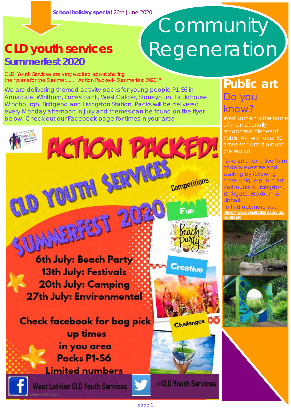# **Summerfest 2020**

# Community **CLD youth services** Regeneration

CLD Youth Services are very excited about sharing their plans for the Summer...... " Action Packed- Summerfest 2020! "

We are delivering themed activity packs for young people P1-S6 in Armadale, Whitburn, Forrestbank, West Calder, Stoneyburn, Fauldhouse, Winchburgh, Bridgend and Livingston Station. Packs will be delivered every Monday afternoon in July and themes can be found on the flyer below. Check out our Facebook page for times in your area

**ACTION PACKED!** 



West Lothian is the home of internationally recognised pieces of Public Art, with over 80 artworks dotted around the region.

Take an alternative form of daily exercise and walking by following these unique public art trail routes in Livingston, Bathgate, Broxburn & Uphall.

To find out more visit: **[https://www.westlothian.gov.uk/](https://www.westlothian.gov.uk/publicart) [publicart](https://www.westlothian.gov.uk/publicart)**





**6th July: Beach Party** 13th July: Festivals **20th July: Camping 27th July: Environmental** 

CLD YOUTH SERVICE

UNNERFEST 20



Creative

Competitions

enchi



@CLD Youth Services

**Check facebook for bag pick** up times in you area Packs P1-S6

**Limited numbers** 

West Lothian CLD Youth Services

page 1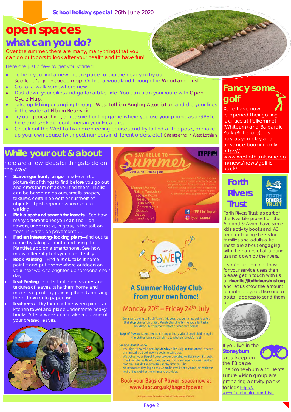**School holiday special** 26th June 2020

## **open spaces**

### **what can you do?**

Over the summer, there are many, many things that you can do outdoors to look after your health and to have fun!

Here are just a few to get you started…

- To help you find a new green space to explore near you try out [Scotland's greenspace map](https://osmaps.ordnancesurvey.co.uk/55.87991,-3.51673,14). Or find a woodland through the [Woodland Trust](https://www.woodlandtrust.org.uk/visiting-woods/find-woods/)
- Go for a walk somewhere new.
- Dust down your bikes and go for a bike ride. You can plan your route with Open [Cycle Map.](https://www.opencyclemap.org/)
- Take up fishing or angling through [West Lothian Angling Association](https://www.facebook.com/WestLothianAnglingAssociation) and dip your lines in the water at [Eliburn Reservoir](https://www.facebook.com/FishingEliburnReservoir)
- Try out [geocaching,](https://www.geocaching.com/play) a treasure hunting game where you use your phone as a GPS to hide and seek out containers in your local area.
- Check out the West Lothian orienteering courses and try to find all the posts, or make up your own course (with post numbers in different orders, etc) [Orienteering in West Lothian](https://www.westlothian.gov.uk/article/34157/Orienteering)

### **While your out & about**

here are a few ideas for things to do on the way:

- **Scavenger hunt / bingo**—make a list or picture-list of things to find before you go out, and cross them off as you find them. This list can be based on colours, smells, shapes, textures, certain objects or numbers of objects - it just depends where you're walking.
- **Pick a spot and search for insects**—See how many different ones you can find – on flowers, under rocks, in grass, in the soil, on trees, in water, on pavements….
- **Find an interesting-looking plant**—find out its name by taking a photo and using the PlantNet app on a smartphone. See how many different plants you can identify.
- **Rock Painting**—Find a rock, take it home, paint it and put it somewhere outdoors on your next walk, to brighten up someone else's day.
- **Leaf Printing**—Collect different shapes and textures of leaves, take them home and make leaf prints by painting them & pressing them down onto paper. **or**
- **Leaf press**—Dry them out between pieces of kitchen towel and place under some heavy books. After a week or so make a collage of your pressed leaves.







#### **A Summer Holiday Club** from your own home!

#### Monday 20<sup>th</sup> - Friday 24<sup>th</sup> July

Summer is going to be different this year, but we're not going to let that stop Livingston United Parish Church offering you a fantastic<br>holiday club from the comfort of your own home!

Bags of Power! is our theme, and any primary school aged child living in the Livingston area can sign up. What's more, it's free!

#### So, how does it work?

- You sign up to take part by Monday 13th July at the latest. Spaces are limited, so book now to avoid missing out
- We deliver your Bag of Power to your doorstep on Saturday 18th July. It will be filled with activities, games, crafts and even a sweet treat or two. You can do the activities at any time you like.
- At 10am each day, log on to a Zoom link we'll send you to join with the rest of the club for more fun and activities.

#### Book your Bags of Power! space now at www.lupc.org.uk/bagsofpower

#### Ningston United Parish Church - Scottish Charley Number 5001205

#### **Fancy some golf**

**CONSTRUCTION** 

Xcite have now re-opened their golfing facilities at Polkemmet (Whitburn) and Balbardie Park (Bathgate). It's pay-as-you-play and advance booking only. [https://](https://www.westlothianleisure.com/news/news/golf-is-back/) [www.westlothianleisure.co](https://www.westlothianleisure.com/news/news/golf-is-back/) [m/news/news/golf-is](https://www.westlothianleisure.com/news/news/golf-is-back/)[back/](https://www.westlothianleisure.com/news/news/golf-is-back/)

#### **Forth Rivers Trust**



Forth Rivers Trust, as part of the RiverLife project on the Almond & Avon, have some kids activity books and A3 sized colouring sheets for families and adults alike. These are about engaging with the nature of all around us and down by the rivers.

If you'd like some of these for your service users then please get in touch with us at **[riverlife@forthriverstrust.org](mailto:riverlife@forthriverstrust.org)** and let us know the amount of materials you'd like and a postal address to send them



If you live in the **Stoneyburn** area keep on the FB page The Stoneyburn and Bents Future Vision group are preparing activity packs for kids [https://](https://www.facebook.com/sbfvg) [www.facebook.com/sbfvg](https://www.facebook.com/sbfvg)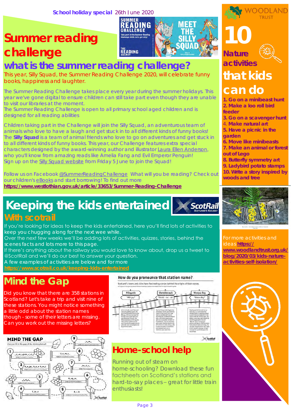## **Summer reading challenge**



### **what is the summer reading challenge?**

This year, Silly Squad, the Summer Reading Challenge 2020, will celebrate funny books, happiness and laughter.

The Summer Reading Challenge takes place every year during the summer holidays. This year we've gone digital to ensure children can still take part even though they are unable to visit our libraries at the moment.

The Summer Reading Challenge is open to all primary school aged children and is designed for all reading abilities

Children taking part in the Challenge will join the Silly Squad, an adventurous team of animals who love to have a laugh and get stuck in to all different kinds of funny books! The **Silly Squad** is a team of animal friends who love to go on adventures and get stuck in to all different kinds of funny books. This year, our Challenge features extra special characters designed by the award-winning author and illustrator [Laura Ellen Anderson,](http://www.lauraellenanderson.co.uk/)  who you'll know from amazing reads like Amelia Fang and Evil Emperor Penguin! Sign up on the [Silly Squad website](http://sillysquad.org.uk/) from Friday 5 June to join the Squad!

Follow us on Facebook [@SummerReadingChallenge](https://www.facebook.com/pg/SummerReadingChallengeUK/posts/?ref=page_internal) What will you be reading? Check out our children's [eBooks](https://www.westlothian.gov.uk/eBooks) and start borrowing! To find out more **<https://www.westlothian.gov.uk/article/33653/Summer-Reading-Challenge>**

# **Keeping the kids entertained**



If you're looking for ideas to keep the kids entertained, here you'll find lots of activities to keep you chugging along for the next wee while.

Over the next few weeks we'll be adding lots of activities, quizzes, stories, behind the scenes facts and lots more to this page.

If there's anything about the railway you would love to know about, drop us a tweet to @ScotRail and we'll do our best to answer your question.

A few examples of activities are below and for more

**<https://www.scotrail.co.uk/keeping-kids-entertained>**

### **Mind the Gap**

Did you know that there are 358 stations in Scotland? Let's take a trip and visit nine of these stations. You might notice something a little odd about the station names though - some of their letters are missing. Can you work out the missing letters?



#### How do you pronounce that station name?



#### **Home-school help**

Running out of steam on home-schooling? Download these fun factsheets on Scotland's stations and hard-to-say places – great for little train enthusiasts!

**10 Nature activities** 



**OODI AND** 

### **that kids can do**

**1. Go on a minibeast hunt 2. Make a loo roll bird feeder**

**3. Go on a scavenger hunt**

4. **Make natural art**

**5. Have a picnic in the** 

- **garden**
- **6. Move like minibeasts 7. Make an animal or forest**
- **out of Lego**
- **8. Butterfly symmetry art 9. Ladybird potato stamps 10. Write a story inspired by woods and tree**



ideas **[https://](https://www.woodlandtrust.org.uk/blog/2020/03/kids-nature-activities-self-isolation/) [www.woodlandtrust.org.uk/](https://www.woodlandtrust.org.uk/blog/2020/03/kids-nature-activities-self-isolation/) [blog/2020/03/kids-nature](https://www.woodlandtrust.org.uk/blog/2020/03/kids-nature-activities-self-isolation/)[activities-self-isolation/](https://www.woodlandtrust.org.uk/blog/2020/03/kids-nature-activities-self-isolation/)**